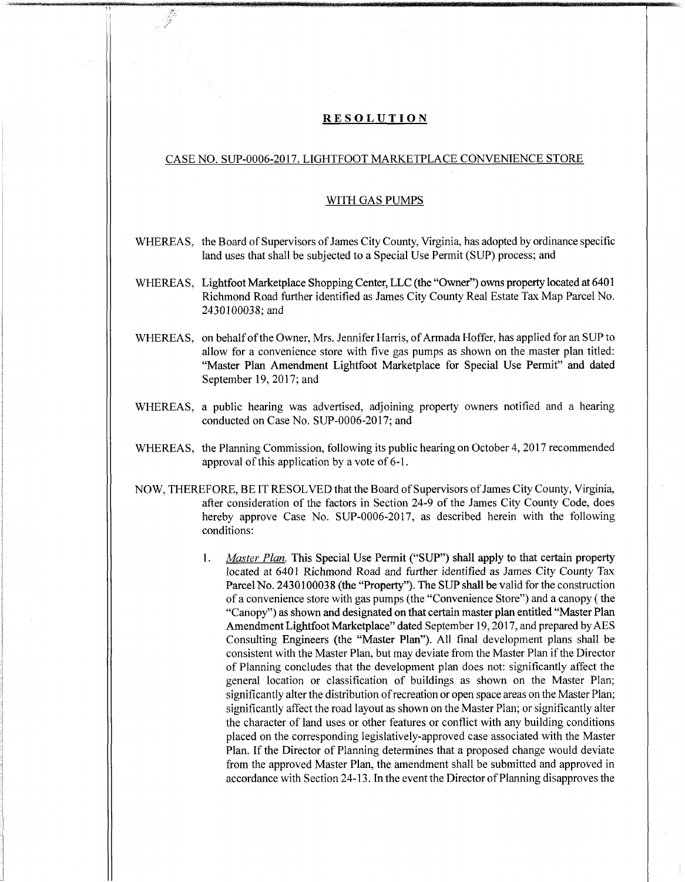## **RESOLUTION**

## CASE NO. SUP-0006-2017. LIGHTFOOT MARKETPLACE CONVENIENCE STORE

## WITH GAS PUMPS

- WHEREAS, the Board of Supervisors of James City County, Virginia, has adopted by ordinance specific land uses that shall be subjected to a Special Use Permit (SUP) process; and
- WHEREAS, Lightfoot Marketplace Shopping Center, LLC (the "Owner") owns property located at 6401 Richmond Road further identified as James City County Real Estate Tax Map Parcel No. 2430100038; and
- WHEREAS, on behalf of the Owner, Mrs. Jennifer Harris, of Armada Hoffer, has applied for an SUP to allow for a convenience store with five gas pumps as shown on the master plan titled: "Master Plan Amendment Lightfoot Marketplace for Special Use Permit" and dated September 19, 2017; and
- WHEREAS, a public hearing was advertised, adjoining property owners notified and a hearing conducted on Case No. SUP-0006-2017; and
- WHEREAS, the Planning Commission, following its public hearing on October 4, 2017 recommended approval of this application by a vote of 6-1.
- NOW, THEREFORE, BE IT RESOLVED that the Board ofSupervisors ofJames City County, Virginia, after consideration of the factors in Section 24-9 of the James City County Code, does hereby approve Case No. SUP-0006-2017, as described herein with the following conditions:
	- *Master Plan.* This Special Use Permit ("SUP") shall apply to that certain property located at 6401 Richmond Road and further identified as James City County Tax Parcel No. 2430100038 (the "Property"). The SUP shall be valid for the construction of <sup>a</sup> convenience store with gas pumps (the "Convenience Store") and <sup>a</sup> canopy (the "Canopy") as shown and designated on that certain master plan entitled "Master Plan Amendment Lightfoot Marketplace" dated September 19, 2017, and prepared by AES Consulting Engineers (the "Master Plan"). All final development plans shall be consistent with the Master Plan, but may deviate from the Master Plan ifthe Director of Planning concludes that the development plan does not: significantly affect the general location or classification of buildings as shown on the Master Plan; significantly alter the distribution of recreation or open space areas on the Master Plan; significantly affect the road layout as shown on the Master Plan; or significantly alter the character of land uses or other features or conflict with any building conditions placed on the corresponding legislatively-approved case associated with the Master Plan. If the Director of Planning determines that a proposed change would deviate from the approved Master Plan, the amendment shall be submitted and approved in accordance with Section 24-13. In the event the Director of Planning disapproves the 1.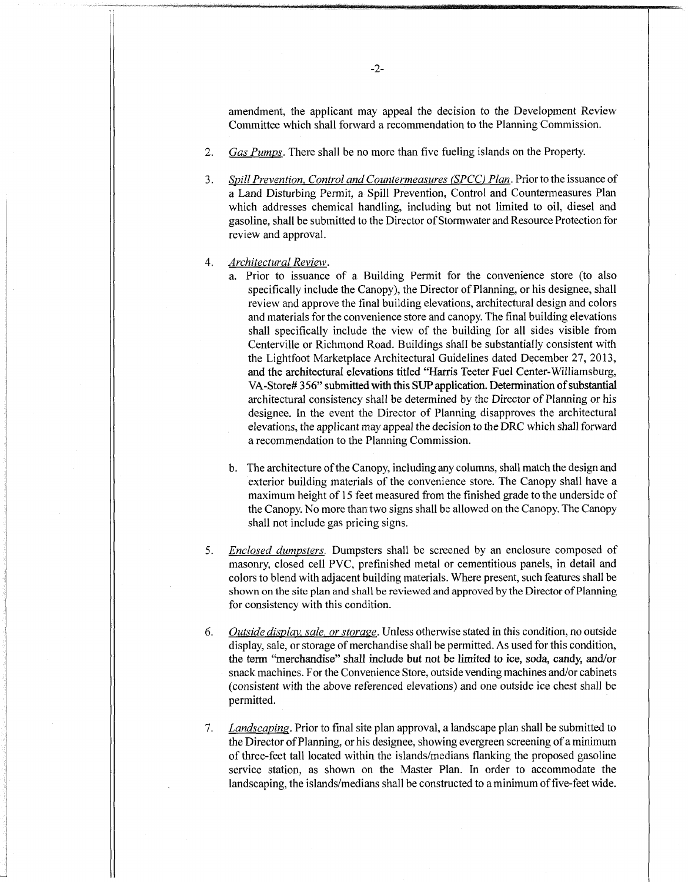amendment, the applicant may appeal the decision to the Development Review Committee which shall forward a recommendation to the Planning Commission.

- **2.** *Gas Pumps.* There shall be no more than five fueling islands on the Property.
- *Spill Prevention. Control andCountermeasures (SPCC) Plan.* Priorto the issuance of a Land Disturbing Permit, a Spill Prevention, Control and Countermeasures Plan which addresses chemical handling, including but not limited to oil, diesel and gasoline, shall be submitted to the Director of Stormwater and Resource Protection for review and approval. **3.**
- *Architectural Review.* **4.**
	- a. Prior to issuance of a Building Permit for the convenience store (to also specifically include the Canopy), the Director of Planning, or his designee, shall review and approve the final building elevations, architectural design and colors and materials for the convenience store and canopy. The final building elevations shall specifically include the view of the building for all sides visible from Centerville or Richmond Road. Buildings shall be substantially consistent with the Lightfoot Marketplace Architectural Guidelines dated December 27, 2013, and the architectural elevations titled "Harris Teeter Fuel Center-Williamsburg, VA-Store# 356" submitted with this SUP application. Determination of substantial architectural consistency shall be determined by the Director of Planning or his designee. In the event the Director of Planning disapproves the architectural elevations, the applicant may appeal the decision to the DRC which shall forward a recommendation to the Planning Commission.
	- b. The architecture of the Canopy, including any columns, shall match the design and exterior building materials of the convenience store. The Canopy shall have a maximum height of 15 feet measured from the finished grade to the underside of the Canopy. No more than two signs shall be allowed on the Canopy. The Canopy shall not include gas pricing signs.
- *Enclosed dumpsters.* Dumpsters shall be screened by an enclosure composed of masonry, closed cell PVC, prefinished metal or cementitious panels, in detail and colors to blend with adjacent building materials. Where present, such features shall be shown on the site plan and shall be reviewed and approved by the Director of Planning for consistency with this condition. 5.
- *Outside display, sale, orstorage.* Unless otherwise stated in this condition, no outside display, sale, or storage of merchandise shall be permitted. As used for this condition, the term "merchandise" shall include but not be limited to ice, soda, candy, and/or snack machines. For the Convenience Store, outside vending machines and/or cabinets (consistent with the above referenced elevations) and one outside ice chest shall be permitted. 6.
- *Landscapins.* Prior to final site plan approval, a landscape plan shall be submitted to the Director of Planning, or his designee, showing evergreen screening of a minimum ofthree-feet tall located within the islands/medians flanking the proposed gasoline service station, as shown on the Master Plan. In order to accommodate the landscaping, the islands/medians shall be constructed to aminimum offive-feet wide. **7.**